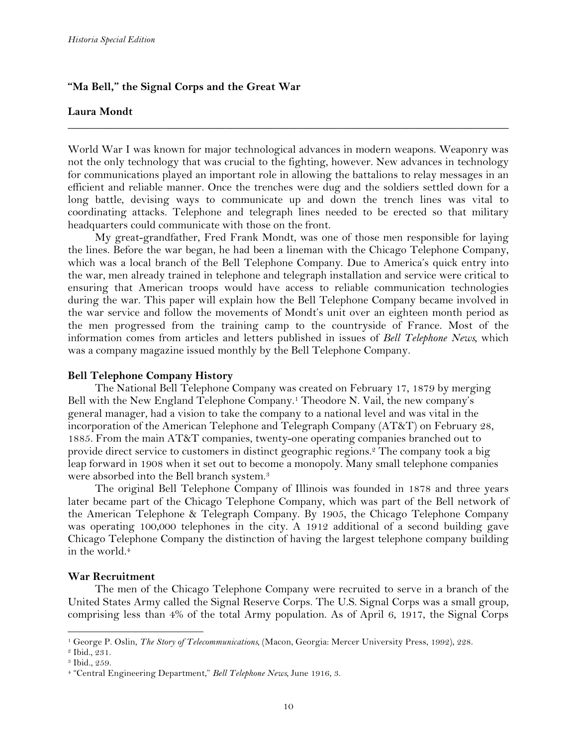## **"Ma Bell," the Signal Corps and the Great War**

## **Laura Mondt**

World War I was known for major technological advances in modern weapons. Weaponry was not the only technology that was crucial to the fighting, however. New advances in technology for communications played an important role in allowing the battalions to relay messages in an efficient and reliable manner. Once the trenches were dug and the soldiers settled down for a long battle, devising ways to communicate up and down the trench lines was vital to coordinating attacks. Telephone and telegraph lines needed to be erected so that military headquarters could communicate with those on the front.

**\_\_\_\_\_\_\_\_\_\_\_\_\_\_\_\_\_\_\_\_\_\_\_\_\_\_\_\_\_\_\_\_\_\_\_\_\_\_\_\_\_\_\_\_\_\_\_\_\_\_\_\_\_\_\_\_\_\_\_\_\_\_\_\_\_\_\_\_\_\_\_\_\_\_\_\_\_\_**

My great-grandfather, Fred Frank Mondt, was one of those men responsible for laying the lines. Before the war began, he had been a lineman with the Chicago Telephone Company, which was a local branch of the Bell Telephone Company. Due to America's quick entry into the war, men already trained in telephone and telegraph installation and service were critical to ensuring that American troops would have access to reliable communication technologies during the war. This paper will explain how the Bell Telephone Company became involved in the war service and follow the movements of Mondt's unit over an eighteen month period as the men progressed from the training camp to the countryside of France. Most of the information comes from articles and letters published in issues of *Bell Telephone News,* which was a company magazine issued monthly by the Bell Telephone Company*.*

#### **Bell Telephone Company History**

The National Bell Telephone Company was created on February 17, 1879 by merging Bell with the New England Telephone Company.1 Theodore N. Vail, the new company's general manager, had a vision to take the company to a national level and was vital in the incorporation of the American Telephone and Telegraph Company (AT&T) on February 28, 1885. From the main AT&T companies, twenty-one operating companies branched out to provide direct service to customers in distinct geographic regions.2 The company took a big leap forward in 1908 when it set out to become a monopoly. Many small telephone companies were absorbed into the Bell branch system.3

The original Bell Telephone Company of Illinois was founded in 1878 and three years later became part of the Chicago Telephone Company, which was part of the Bell network of the American Telephone & Telegraph Company. By 1905, the Chicago Telephone Company was operating 100,000 telephones in the city. A 1912 additional of a second building gave Chicago Telephone Company the distinction of having the largest telephone company building in the world.<sup>4</sup>

#### **War Recruitment**

!!!!!!!!!!!!!!!!!!!!!!!!!!!!!!!!!!!!!!!!!!!!!!!!!!!!!!!!!!!!

The men of the Chicago Telephone Company were recruited to serve in a branch of the United States Army called the Signal Reserve Corps. The U.S. Signal Corps was a small group, comprising less than 4% of the total Army population. As of April 6, 1917, the Signal Corps

<sup>1</sup> George P. Oslin, *The Story of Telecommunications,* (Macon, Georgia: Mercer University Press, 1992), 228.

<sup>2</sup> Ibid.*,* 231.

<sup>3</sup> Ibid., 259.

<sup>4</sup> "Central Engineering Department," *Bell Telephone News,* June 1916, 3.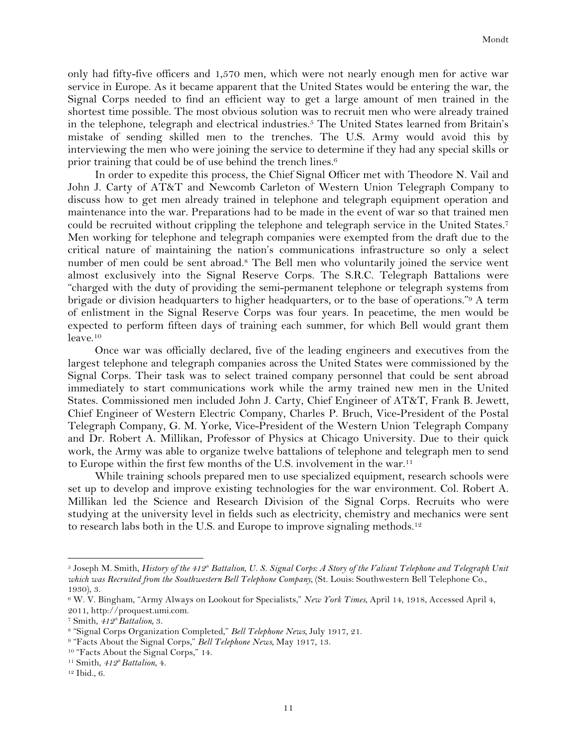only had fifty-five officers and 1,570 men, which were not nearly enough men for active war service in Europe. As it became apparent that the United States would be entering the war, the Signal Corps needed to find an efficient way to get a large amount of men trained in the shortest time possible. The most obvious solution was to recruit men who were already trained in the telephone, telegraph and electrical industries.5 The United States learned from Britain's mistake of sending skilled men to the trenches. The U.S. Army would avoid this by interviewing the men who were joining the service to determine if they had any special skills or prior training that could be of use behind the trench lines.<sup>6</sup>

In order to expedite this process, the Chief Signal Officer met with Theodore N. Vail and John J. Carty of AT&T and Newcomb Carleton of Western Union Telegraph Company to discuss how to get men already trained in telephone and telegraph equipment operation and maintenance into the war. Preparations had to be made in the event of war so that trained men could be recruited without crippling the telephone and telegraph service in the United States.7 Men working for telephone and telegraph companies were exempted from the draft due to the critical nature of maintaining the nation's communications infrastructure so only a select number of men could be sent abroad.<sup>8</sup> The Bell men who voluntarily joined the service went almost exclusively into the Signal Reserve Corps. The S.R.C. Telegraph Battalions were "charged with the duty of providing the semi-permanent telephone or telegraph systems from brigade or division headquarters to higher headquarters, or to the base of operations."9 A term of enlistment in the Signal Reserve Corps was four years. In peacetime, the men would be expected to perform fifteen days of training each summer, for which Bell would grant them leave.10

Once war was officially declared, five of the leading engineers and executives from the largest telephone and telegraph companies across the United States were commissioned by the Signal Corps. Their task was to select trained company personnel that could be sent abroad immediately to start communications work while the army trained new men in the United States. Commissioned men included John J. Carty, Chief Engineer of AT&T, Frank B. Jewett, Chief Engineer of Western Electric Company, Charles P. Bruch, Vice-President of the Postal Telegraph Company, G. M. Yorke, Vice-President of the Western Union Telegraph Company and Dr. Robert A. Millikan, Professor of Physics at Chicago University. Due to their quick work, the Army was able to organize twelve battalions of telephone and telegraph men to send to Europe within the first few months of the U.S. involvement in the war.11

While training schools prepared men to use specialized equipment, research schools were set up to develop and improve existing technologies for the war environment. Col. Robert A. Millikan led the Science and Research Division of the Signal Corps. Recruits who were studying at the university level in fields such as electricity, chemistry and mechanics were sent to research labs both in the U.S. and Europe to improve signaling methods.<sup>12</sup>

<sup>&</sup>lt;sup>5</sup> Joseph M. Smith, *History of the 412<sup>th</sup> Battalion, U. S. Signal Corps: A Story of the Valiant Telephone and Telegraph Unit which was Recruited from the Southwestern Bell Telephone Company,* (St. Louis: Southwestern Bell Telephone Co., 1930), 3.

<sup>6</sup> W. V. Bingham, "Army Always on Lookout for Specialists," *New York Times*, April 14, 1918, Accessed April 4, 2011, http://proquest.umi.com.

<sup>7</sup> Smith, *412th Battalion,* 3.

<sup>8</sup> "Signal Corps Organization Completed," *Bell Telephone News,* July 1917, 21.

<sup>9</sup> "Facts About the Signal Corps," *Bell Telephone News,* May 1917, 13.

<sup>10</sup> "Facts About the Signal Corps," 14.

<sup>&</sup>lt;sup>11</sup> Smith,  $412^{\text{th}}$  Battalion, 4.

<sup>12</sup> Ibid., 6.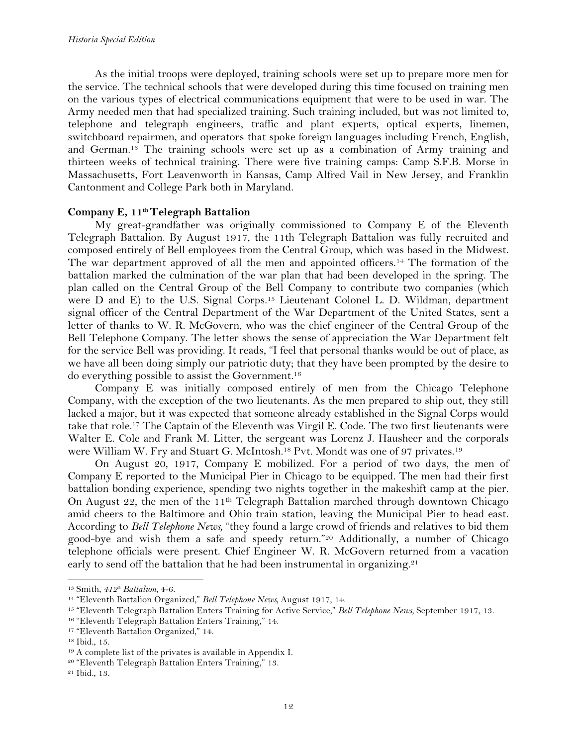As the initial troops were deployed, training schools were set up to prepare more men for the service. The technical schools that were developed during this time focused on training men on the various types of electrical communications equipment that were to be used in war. The Army needed men that had specialized training. Such training included, but was not limited to, telephone and telegraph engineers, traffic and plant experts, optical experts, linemen, switchboard repairmen, and operators that spoke foreign languages including French, English, and German.13 The training schools were set up as a combination of Army training and thirteen weeks of technical training. There were five training camps: Camp S.F.B. Morse in Massachusetts, Fort Leavenworth in Kansas, Camp Alfred Vail in New Jersey, and Franklin Cantonment and College Park both in Maryland.

# Company E, 11<sup>th</sup> Telegraph Battalion

My great-grandfather was originally commissioned to Company E of the Eleventh Telegraph Battalion. By August 1917, the 11th Telegraph Battalion was fully recruited and composed entirely of Bell employees from the Central Group, which was based in the Midwest. The war department approved of all the men and appointed officers.14 The formation of the battalion marked the culmination of the war plan that had been developed in the spring. The plan called on the Central Group of the Bell Company to contribute two companies (which were D and E) to the U.S. Signal Corps.<sup>15</sup> Lieutenant Colonel L. D. Wildman, department signal officer of the Central Department of the War Department of the United States, sent a letter of thanks to W. R. McGovern, who was the chief engineer of the Central Group of the Bell Telephone Company. The letter shows the sense of appreciation the War Department felt for the service Bell was providing. It reads, "I feel that personal thanks would be out of place, as we have all been doing simply our patriotic duty; that they have been prompted by the desire to do everything possible to assist the Government.16

Company E was initially composed entirely of men from the Chicago Telephone Company, with the exception of the two lieutenants. As the men prepared to ship out, they still lacked a major, but it was expected that someone already established in the Signal Corps would take that role.17 The Captain of the Eleventh was Virgil E. Code. The two first lieutenants were Walter E. Cole and Frank M. Litter, the sergeant was Lorenz J. Hausheer and the corporals were William W. Fry and Stuart G. McIntosh.18 Pvt. Mondt was one of 97 privates.19

On August 20, 1917, Company E mobilized. For a period of two days, the men of Company E reported to the Municipal Pier in Chicago to be equipped. The men had their first battalion bonding experience, spending two nights together in the makeshift camp at the pier. On August 22, the men of the 11th Telegraph Battalion marched through downtown Chicago amid cheers to the Baltimore and Ohio train station, leaving the Municipal Pier to head east. According to *Bell Telephone News,* "they found a large crowd of friends and relatives to bid them good-bye and wish them a safe and speedy return."20 Additionally, a number of Chicago telephone officials were present. Chief Engineer W. R. McGovern returned from a vacation early to send off the battalion that he had been instrumental in organizing.<sup>21</sup>

<sup>&</sup>lt;sup>13</sup> Smith,  $412<sup>th</sup>$  *Battalion*, 4-6.

<sup>14</sup> "Eleventh Battalion Organized," *Bell Telephone News,* August 1917, 14.

<sup>15</sup> "Eleventh Telegraph Battalion Enters Training for Active Service," *Bell Telephone News,* September 1917, 13.

<sup>16</sup> "Eleventh Telegraph Battalion Enters Training," 14.

<sup>17</sup> "Eleventh Battalion Organized," 14.

<sup>18</sup> Ibid., 15.

<sup>19</sup> A complete list of the privates is available in Appendix I.

<sup>20</sup> "Eleventh Telegraph Battalion Enters Training," 13.

<sup>21</sup> Ibid., 13.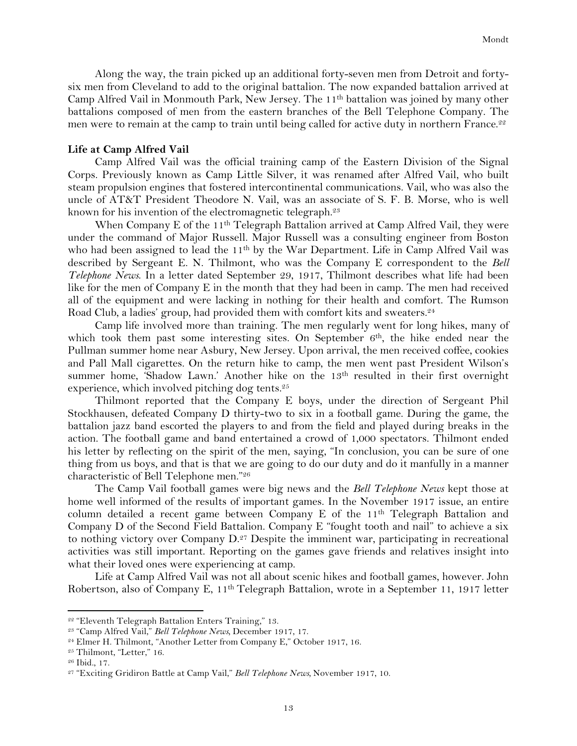Along the way, the train picked up an additional forty-seven men from Detroit and fortysix men from Cleveland to add to the original battalion. The now expanded battalion arrived at Camp Alfred Vail in Monmouth Park, New Jersey. The 11th battalion was joined by many other battalions composed of men from the eastern branches of the Bell Telephone Company. The men were to remain at the camp to train until being called for active duty in northern France.<sup>22</sup>

### **Life at Camp Alfred Vail**

Camp Alfred Vail was the official training camp of the Eastern Division of the Signal Corps. Previously known as Camp Little Silver, it was renamed after Alfred Vail, who built steam propulsion engines that fostered intercontinental communications. Vail, who was also the uncle of AT&T President Theodore N. Vail, was an associate of S. F. B. Morse, who is well known for his invention of the electromagnetic telegraph.<sup>23</sup>

When Company E of the 11<sup>th</sup> Telegraph Battalion arrived at Camp Alfred Vail, they were under the command of Major Russell. Major Russell was a consulting engineer from Boston who had been assigned to lead the 11<sup>th</sup> by the War Department. Life in Camp Alfred Vail was described by Sergeant E. N. Thilmont, who was the Company E correspondent to the *Bell Telephone News*. In a letter dated September 29, 1917, Thilmont describes what life had been like for the men of Company E in the month that they had been in camp. The men had received all of the equipment and were lacking in nothing for their health and comfort. The Rumson Road Club, a ladies' group, had provided them with comfort kits and sweaters.<sup>24</sup>

Camp life involved more than training. The men regularly went for long hikes, many of which took them past some interesting sites. On September  $6<sup>th</sup>$ , the hike ended near the Pullman summer home near Asbury, New Jersey. Upon arrival, the men received coffee, cookies and Pall Mall cigarettes. On the return hike to camp, the men went past President Wilson's summer home, 'Shadow Lawn.' Another hike on the 13<sup>th</sup> resulted in their first overnight experience, which involved pitching dog tents.<sup>25</sup>

Thilmont reported that the Company E boys, under the direction of Sergeant Phil Stockhausen, defeated Company D thirty-two to six in a football game. During the game, the battalion jazz band escorted the players to and from the field and played during breaks in the action. The football game and band entertained a crowd of 1,000 spectators. Thilmont ended his letter by reflecting on the spirit of the men, saying, "In conclusion, you can be sure of one thing from us boys, and that is that we are going to do our duty and do it manfully in a manner characteristic of Bell Telephone men."26

The Camp Vail football games were big news and the *Bell Telephone News* kept those at home well informed of the results of important games. In the November 1917 issue, an entire column detailed a recent game between Company E of the  $11<sup>th</sup>$  Telegraph Battalion and Company D of the Second Field Battalion. Company E "fought tooth and nail" to achieve a six to nothing victory over Company D.27 Despite the imminent war, participating in recreational activities was still important. Reporting on the games gave friends and relatives insight into what their loved ones were experiencing at camp.

Life at Camp Alfred Vail was not all about scenic hikes and football games, however. John Robertson, also of Company E, 11<sup>th</sup> Telegraph Battalion, wrote in a September 11, 1917 letter

<sup>22</sup> "Eleventh Telegraph Battalion Enters Training," 13.

<sup>23</sup> "Camp Alfred Vail," *Bell Telephone News,* December 1917, 17.

<sup>24</sup> Elmer H. Thilmont, "Another Letter from Company E," October 1917, 16.

<sup>&</sup>lt;sup>25</sup> Thilmont, "Letter," 16.

<sup>26</sup> Ibid., 17.

<sup>27</sup> "Exciting Gridiron Battle at Camp Vail," *Bell Telephone News,* November 1917, 10.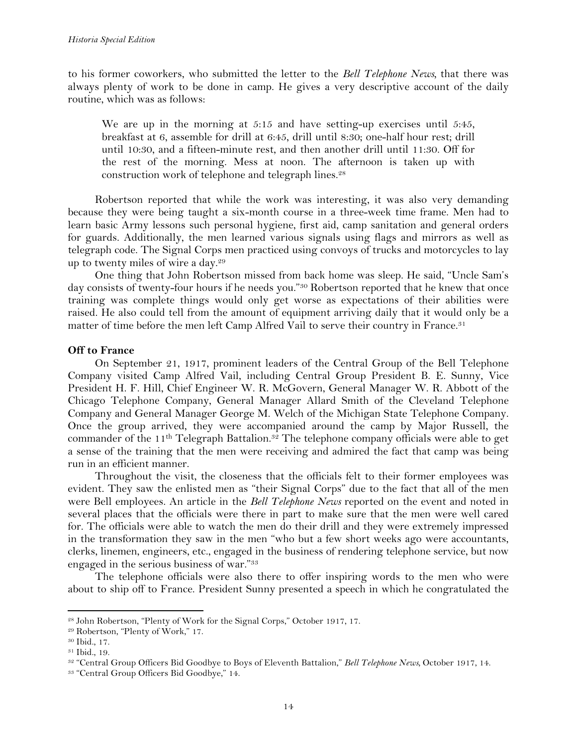to his former coworkers, who submitted the letter to the *Bell Telephone News,* that there was always plenty of work to be done in camp. He gives a very descriptive account of the daily routine, which was as follows:

We are up in the morning at 5:15 and have setting-up exercises until 5:45, breakfast at 6, assemble for drill at 6:45, drill until 8:30; one-half hour rest; drill until 10:30, and a fifteen-minute rest, and then another drill until 11:30. Off for the rest of the morning. Mess at noon. The afternoon is taken up with construction work of telephone and telegraph lines.<sup>28</sup>

Robertson reported that while the work was interesting, it was also very demanding because they were being taught a six-month course in a three-week time frame. Men had to learn basic Army lessons such personal hygiene, first aid, camp sanitation and general orders for guards. Additionally, the men learned various signals using flags and mirrors as well as telegraph code. The Signal Corps men practiced using convoys of trucks and motorcycles to lay up to twenty miles of wire a day.29

One thing that John Robertson missed from back home was sleep. He said, "Uncle Sam's day consists of twenty-four hours if he needs you."<sup>30</sup> Robertson reported that he knew that once training was complete things would only get worse as expectations of their abilities were raised. He also could tell from the amount of equipment arriving daily that it would only be a matter of time before the men left Camp Alfred Vail to serve their country in France.<sup>31</sup>

# **Off to France**

On September 21, 1917, prominent leaders of the Central Group of the Bell Telephone Company visited Camp Alfred Vail, including Central Group President B. E. Sunny, Vice President H. F. Hill, Chief Engineer W. R. McGovern, General Manager W. R. Abbott of the Chicago Telephone Company, General Manager Allard Smith of the Cleveland Telephone Company and General Manager George M. Welch of the Michigan State Telephone Company. Once the group arrived, they were accompanied around the camp by Major Russell, the commander of the 11<sup>th</sup> Telegraph Battalion.<sup>32</sup> The telephone company officials were able to get a sense of the training that the men were receiving and admired the fact that camp was being run in an efficient manner.

Throughout the visit, the closeness that the officials felt to their former employees was evident. They saw the enlisted men as "their Signal Corps" due to the fact that all of the men were Bell employees. An article in the *Bell Telephone News* reported on the event and noted in several places that the officials were there in part to make sure that the men were well cared for. The officials were able to watch the men do their drill and they were extremely impressed in the transformation they saw in the men "who but a few short weeks ago were accountants, clerks, linemen, engineers, etc., engaged in the business of rendering telephone service, but now engaged in the serious business of war."33

The telephone officials were also there to offer inspiring words to the men who were about to ship off to France. President Sunny presented a speech in which he congratulated the

<sup>28</sup> John Robertson, "Plenty of Work for the Signal Corps," October 1917, 17.

<sup>29</sup> Robertson, "Plenty of Work," 17.

<sup>30</sup> Ibid., 17.

<sup>31</sup> Ibid., 19.

<sup>32</sup> "Central Group Officers Bid Goodbye to Boys of Eleventh Battalion," *Bell Telephone News,* October 1917, 14.

<sup>33</sup> "Central Group Officers Bid Goodbye," 14.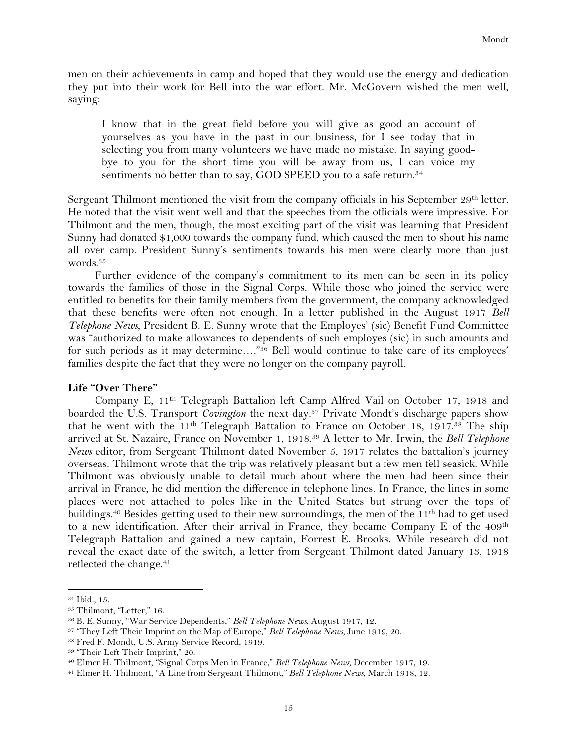men on their achievements in camp and hoped that they would use the energy and dedication they put into their work for Bell into the war effort. Mr. McGovern wished the men well, saying:

I know that in the great field before you will give as good an account of yourselves as you have in the past in our business, for I see today that in selecting you from many volunteers we have made no mistake. In saying goodbye to you for the short time you will be away from us, I can voice my sentiments no better than to say, GOD SPEED you to a safe return.<sup>34</sup>

Sergeant Thilmont mentioned the visit from the company officials in his September 29<sup>th</sup> letter. He noted that the visit went well and that the speeches from the officials were impressive. For Thilmont and the men, though, the most exciting part of the visit was learning that President Sunny had donated \$1,000 towards the company fund, which caused the men to shout his name all over camp. President Sunny's sentiments towards his men were clearly more than just words.35

Further evidence of the company's commitment to its men can be seen in its policy towards the families of those in the Signal Corps. While those who joined the service were entitled to benefits for their family members from the government, the company acknowledged that these benefits were often not enough. In a letter published in the August 1917 *Bell Telephone News,* President B. E. Sunny wrote that the Employes' (sic) Benefit Fund Committee was "authorized to make allowances to dependents of such employes (sic) in such amounts and for such periods as it may determine…."36 Bell would continue to take care of its employees' families despite the fact that they were no longer on the company payroll.

## **Life "Over There"**

Company E, 11th Telegraph Battalion left Camp Alfred Vail on October 17, 1918 and boarded the U.S. Transport *Covington* the next day.37 Private Mondt's discharge papers show that he went with the 11<sup>th</sup> Telegraph Battalion to France on October 18, 1917.<sup>38</sup> The ship arrived at St. Nazaire, France on November 1, 1918.39 A letter to Mr. Irwin, the *Bell Telephone News* editor, from Sergeant Thilmont dated November 5, 1917 relates the battalion's journey overseas. Thilmont wrote that the trip was relatively pleasant but a few men fell seasick. While Thilmont was obviously unable to detail much about where the men had been since their arrival in France, he did mention the difference in telephone lines. In France, the lines in some places were not attached to poles like in the United States but strung over the tops of buildings.<sup>40</sup> Besides getting used to their new surroundings, the men of the 11<sup>th</sup> had to get used to a new identification. After their arrival in France, they became Company E of the  $409<sup>th</sup>$ Telegraph Battalion and gained a new captain, Forrest E. Brooks. While research did not reveal the exact date of the switch, a letter from Sergeant Thilmont dated January 13, 1918 reflected the change.<sup>41</sup>

<sup>34</sup> Ibid., 15.

<sup>35</sup> Thilmont, "Letter," 16.

<sup>36</sup> B. E. Sunny, "War Service Dependents," *Bell Telephone News,* August 1917, 12.

<sup>37</sup> "They Left Their Imprint on the Map of Europe," *Bell Telephone News,* June 1919, 20.

<sup>38</sup> Fred F. Mondt, U.S. Army Service Record, 1919.

<sup>39</sup> "Their Left Their Imprint," 20.

<sup>40</sup> Elmer H. Thilmont, "Signal Corps Men in France," *Bell Telephone News,* December 1917, 19.

<sup>41</sup> Elmer H. Thilmont, "A Line from Sergeant Thilmont," *Bell Telephone News,* March 1918, 12.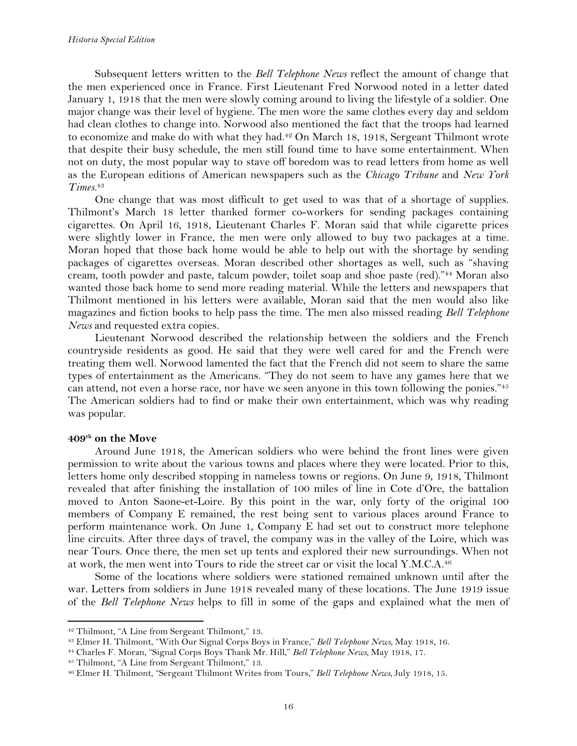Subsequent letters written to the *Bell Telephone News* reflect the amount of change that the men experienced once in France. First Lieutenant Fred Norwood noted in a letter dated January 1, 1918 that the men were slowly coming around to living the lifestyle of a soldier. One major change was their level of hygiene. The men wore the same clothes every day and seldom had clean clothes to change into. Norwood also mentioned the fact that the troops had learned to economize and make do with what they had.42 On March 18, 1918, Sergeant Thilmont wrote that despite their busy schedule, the men still found time to have some entertainment. When not on duty, the most popular way to stave off boredom was to read letters from home as well as the European editions of American newspapers such as the *Chicago Tribune* and *New York Times.*<sup>43</sup>

One change that was most difficult to get used to was that of a shortage of supplies. Thilmont's March 18 letter thanked former co-workers for sending packages containing cigarettes. On April 16, 1918, Lieutenant Charles F. Moran said that while cigarette prices were slightly lower in France, the men were only allowed to buy two packages at a time. Moran hoped that those back home would be able to help out with the shortage by sending packages of cigarettes overseas. Moran described other shortages as well, such as "shaving cream, tooth powder and paste, talcum powder, toilet soap and shoe paste (red)."44 Moran also wanted those back home to send more reading material. While the letters and newspapers that Thilmont mentioned in his letters were available, Moran said that the men would also like magazines and fiction books to help pass the time. The men also missed reading *Bell Telephone News* and requested extra copies.

Lieutenant Norwood described the relationship between the soldiers and the French countryside residents as good. He said that they were well cared for and the French were treating them well. Norwood lamented the fact that the French did not seem to share the same types of entertainment as the Americans. "They do not seem to have any games here that we can attend, not even a horse race, nor have we seen anyone in this town following the ponies."45 The American soldiers had to find or make their own entertainment, which was why reading was popular.

#### **409th on the Move**

Around June 1918, the American soldiers who were behind the front lines were given permission to write about the various towns and places where they were located. Prior to this, letters home only described stopping in nameless towns or regions. On June 9, 1918, Thilmont revealed that after finishing the installation of 100 miles of line in Cote d'Ore, the battalion moved to Anton Saone-et-Loire. By this point in the war, only forty of the original 100 members of Company E remained, the rest being sent to various places around France to perform maintenance work. On June 1, Company E had set out to construct more telephone line circuits. After three days of travel, the company was in the valley of the Loire, which was near Tours. Once there, the men set up tents and explored their new surroundings. When not at work, the men went into Tours to ride the street car or visit the local Y.M.C.A.46

Some of the locations where soldiers were stationed remained unknown until after the war. Letters from soldiers in June 1918 revealed many of these locations. The June 1919 issue of the *Bell Telephone News* helps to fill in some of the gaps and explained what the men of

<sup>42</sup> Thilmont, "A Line from Sergeant Thilmont," 13.

<sup>43</sup> Elmer H. Thilmont, "With Our Signal Corps Boys in France," *Bell Telephone News,* May 1918, 16.

<sup>44</sup> Charles F. Moran, "Signal Corps Boys Thank Mr. Hill," *Bell Telephone News,* May 1918, 17.

<sup>45</sup> Thilmont, "A Line from Sergeant Thilmont," 13.

<sup>46</sup> Elmer H. Thilmont, "Sergeant Thilmont Writes from Tours," *Bell Telephone News,* July 1918, 15.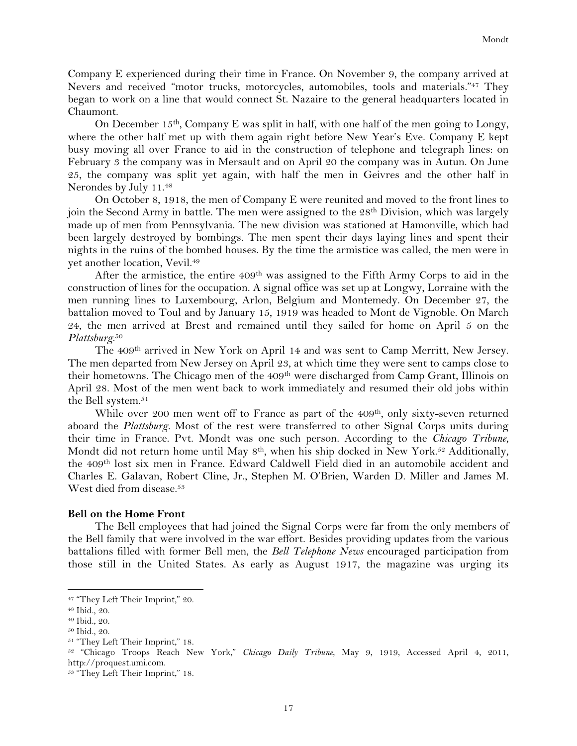Company E experienced during their time in France. On November 9, the company arrived at Nevers and received "motor trucks, motorcycles, automobiles, tools and materials."47 They began to work on a line that would connect St. Nazaire to the general headquarters located in Chaumont.

On December 15<sup>th</sup>, Company E was split in half, with one half of the men going to Longy, where the other half met up with them again right before New Year's Eve. Company E kept busy moving all over France to aid in the construction of telephone and telegraph lines: on February 3 the company was in Mersault and on April 20 the company was in Autun. On June 25, the company was split yet again, with half the men in Geivres and the other half in Nerondes by July 11.48

On October 8, 1918, the men of Company E were reunited and moved to the front lines to join the Second Army in battle. The men were assigned to the 28<sup>th</sup> Division, which was largely made up of men from Pennsylvania. The new division was stationed at Hamonville, which had been largely destroyed by bombings. The men spent their days laying lines and spent their nights in the ruins of the bombed houses. By the time the armistice was called, the men were in yet another location, Vevil.49

After the armistice, the entire 409<sup>th</sup> was assigned to the Fifth Army Corps to aid in the construction of lines for the occupation. A signal office was set up at Longwy, Lorraine with the men running lines to Luxembourg, Arlon, Belgium and Montemedy. On December 27, the battalion moved to Toul and by January 15, 1919 was headed to Mont de Vignoble. On March 24, the men arrived at Brest and remained until they sailed for home on April 5 on the *Plattsburg*. 50

The 409th arrived in New York on April 14 and was sent to Camp Merritt, New Jersey. The men departed from New Jersey on April 23, at which time they were sent to camps close to their hometowns. The Chicago men of the 409th were discharged from Camp Grant, Illinois on April 28. Most of the men went back to work immediately and resumed their old jobs within the Bell system.<sup>51</sup>

While over 200 men went off to France as part of the 409<sup>th</sup>, only sixty-seven returned aboard the *Plattsburg.* Most of the rest were transferred to other Signal Corps units during their time in France. Pvt. Mondt was one such person. According to the *Chicago Tribune*, Mondt did not return home until May 8<sup>th</sup>, when his ship docked in New York.<sup>52</sup> Additionally, the 409th lost six men in France. Edward Caldwell Field died in an automobile accident and Charles E. Galavan, Robert Cline, Jr., Stephen M. O'Brien, Warden D. Miller and James M. West died from disease.<sup>53</sup>

#### **Bell on the Home Front**

The Bell employees that had joined the Signal Corps were far from the only members of the Bell family that were involved in the war effort. Besides providing updates from the various battalions filled with former Bell men, the *Bell Telephone News* encouraged participation from those still in the United States. As early as August 1917, the magazine was urging its

<sup>!!!!!!!!!!!!!!!!!!!!!!!!!!!!!!!!!!!!!!!!!!!!!!!!!!!!!!!!!!!!</sup> <sup>47</sup> "They Left Their Imprint," 20.

<sup>48</sup> Ibid., 20.

<sup>49</sup> Ibid., 20.

<sup>50</sup> Ibid., 20.

<sup>51</sup> "They Left Their Imprint," 18.

<sup>52</sup> "Chicago Troops Reach New York," *Chicago Daily Tribune*, May 9, 1919, Accessed April 4, 2011, http://proquest.umi.com.

<sup>53</sup> "They Left Their Imprint," 18.